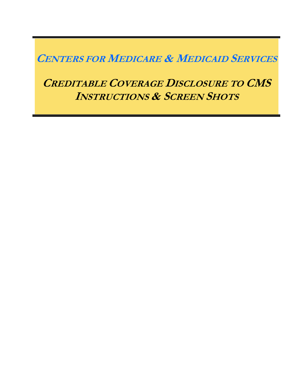# **CENTERS FOR MEDICARE & MEDICAID SERVICES**

# **CREDITABLE COVERAGE DISCLOSURE TO CMS INSTRUCTIONS & SCREEN SHOTS**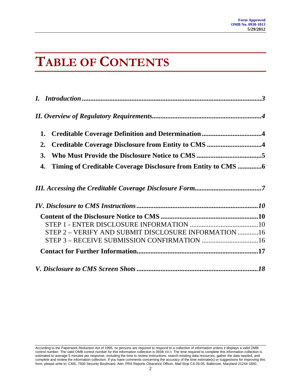# **TABLE OF CONTENTS**

| Creditable Coverage Definition and Determination4<br>1. |  |
|---------------------------------------------------------|--|
| 2.                                                      |  |
| 3.                                                      |  |
| 4.                                                      |  |
|                                                         |  |
|                                                         |  |
|                                                         |  |
|                                                         |  |
| STEP 2 - VERIFY AND SUBMIT DISCLOSURE INFORMATION 16    |  |
|                                                         |  |
|                                                         |  |
|                                                         |  |

According to the Paperwork Reduction Act of 1995, no persons are required to respond to a collection of information unless it displays a valid OMB<br>control number. The valid OMB control number for this information collectio estimated to average 5 minutes per response, including the time to review instructions, search existing data resources, gather the data needed, and complete and review the information collection. If you have comments concerning the accuracy of the time estimate(s) or suggestions for improving this form, please write to: CMS, 7500 Security Boulevard, Attn: PRA Reports Clearance Officer, Mail Stop C4-26-05, Baltimore, Maryland 21244-1850.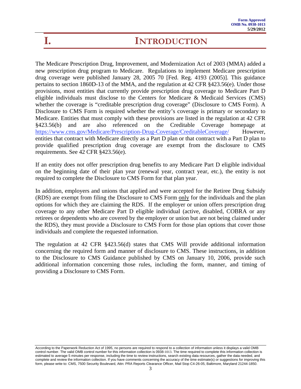# <span id="page-2-0"></span>**I. INTRODUCTION**

The Medicare Prescription Drug, Improvement, and Modernization Act of 2003 (MMA) added a new prescription drug program to Medicare. Regulations to implement Medicare prescription drug coverage were published January 28, 2005 70 [Fed. Reg. 4193 (2005)]. This guidance pertains to section 1860D-13 of the MMA, and the regulation at 42 CFR §423.56(e). Under those provisions, most entities that currently provide prescription drug coverage to Medicare Part D eligible individuals must disclose to the Centers for Medicare & Medicaid Services (CMS) whether the coverage is "creditable prescription drug coverage" (Disclosure to CMS Form). A Disclosure to CMS Form is required whether the entity's coverage is primary or secondary to Medicare. Entities that must comply with these provisions are listed in the regulation at 42 CFR §423.56(b) and are also referenced on the Creditable Coverage homepage at https://www.cms.gov/Medicare/Prescription-Drug-Coverage/CreditableCoverage/ However, entities that contract with Medicare directly as a Part D plan or that contract with a Part D plan to provide qualified prescription drug coverage are exempt from the disclosure to CMS requirements. See 42 CFR §423.56(e).

If an entity does not offer prescription drug benefits to any Medicare Part D eligible individual on the beginning date of their plan year (renewal year, contract year, etc.), the entity is not required to complete the Disclosure to CMS Form for that plan year.

In addition, employers and unions that applied and were accepted for the Retiree Drug Subsidy (RDS) are exempt from filing the Disclosure to CMS Form only for the individuals and the plan options for which they are claiming the RDS. If the employer or union offers prescription drug coverage to any other Medicare Part D eligible individual (active, disabled, COBRA or any retirees or dependents who are covered by the employer or union but are not being claimed under the RDS), they must provide a Disclosure to CMS Form for those plan options that cover those individuals and complete the requested information.

The regulation at 42 CFR §423.56(d) states that CMS Will provide additional information concerning the required form and manner of disclosure to CMS. These instructions, in addition to the Disclosure to CMS Guidance published by CMS on January 10, 2006, provide such additional information concerning those rules, including the form, manner, and timing of providing a Disclosure to CMS Form.

According to the Paperwork Reduction Act of 1995, no persons are required to respond to a collection of information unless it displays a valid OMB control number. The valid OMB control number for this information collection is 0938-1013. The time required to complete this information collection is estimated to average 5 minutes per response, including the time to review instructions, search existing data resources, gather the data needed, and complete and review the information collection. If you have comments concerning the accuracy of the time estimate(s) or suggestions for improving this form, please write to: CMS, 7500 Security Boulevard, Attn: PRA Reports Clearance Officer, Mail Stop C4-26-05, Baltimore, Maryland 21244-1850.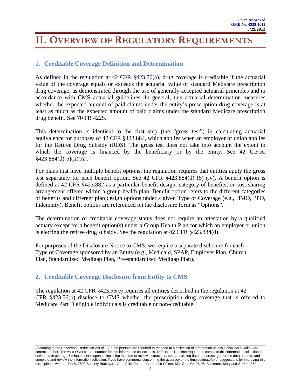# <span id="page-3-0"></span>**II. OVERVIEW OF REGULATORY REQUIREMENTS**

### **1. Creditable Coverage Definition and Determination**

As defined in the regulation at 42 CFR §423.56(a), drug coverage is creditable if the actuarial value of the coverage equals or exceeds the actuarial value of standard Medicare prescription drug coverage, as demonstrated through the use of generally accepted actuarial principles and in accordance with CMS actuarial guidelines. In general, this actuarial determination measures whether the expected amount of paid claims under the entity's prescription drug coverage is at least as much as the expected amount of paid claims under the standard Medicare prescription drug benefit. See 70 FR 4225.

This determination is identical to the first step (the "gross test") in calculating actuarial equivalence for purposes of 42 CFR §423.884, which applies when an employer or union applies for the Retiree Drug Subsidy (RDS). The gross test does not take into account the extent to which the coverage is financed by the beneficiary or by the entity. See 42 C.F.R.  $§423.884(d)(5)(ii)(A).$ 

For plans that have multiple benefit options, the regulation requires that entities apply the gross test separately for each benefit option. See 42 CFR §423.884(d) (5) (iv). A benefit option is defined at 42 CFR §423.882 as a particular benefit design, category of benefits, or cost-sharing arrangement offered within a group health plan. Benefit option refers to the different categories of benefits and different plan design options under a given Type of Coverage (e.g., HMO, PPO, Indemnity). Benefit options are referenced on the disclosure form as "Options".

The determination of creditable coverage status does not require an attestation by a qualified actuary except for a benefit option(s) under a Group Health Plan for which an employer or union is electing the retiree drug subsidy. See the regulation at 42 CFR §423.884(d).

For purposes of the Disclosure Notice to CMS, we require a separate disclosure for each Type of Coverage sponsored by an Entity (e.g., Medicaid, SPAP, Employer Plan, Church Plan, Standardized Medigap Plan, Pre-standardized Medigap Plan).

### **2. Creditable Coverage Disclosure from Entity to CMS**

The regulation at 42 CFR §423.56(e) requires all entities described in the regulation at 42 CFR §423.56(b) disclose to CMS whether the prescription drug coverage that is offered to Medicare Part D eligible individuals is creditable or non-creditable.

According to the Paperwork Reduction Act of 1995, no persons are required to respond to a collection of information unless it displays a valid OMB control number. The valid OMB control number for this information collection is 0938-1013. The time required to complete this information collection is estimated to average 5 minutes per response, including the time to review instructions, search existing data resources, gather the data needed, and complete and review the information collection. If you have comments concerning the accuracy of the time estimate(s) or suggestions for improving this form, please write to: CMS, 7500 Security Boulevard, Attn: PRA Reports Clearance Officer, Mail Stop C4-26-05, Baltimore, Maryland 21244-1850.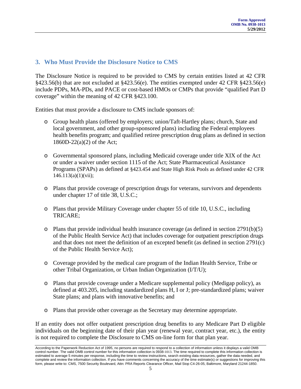### <span id="page-4-0"></span>**3. Who Must Provide the Disclosure Notice to CMS**

The Disclosure Notice is required to be provided to CMS by certain entities listed at 42 CFR §423.56(b) that are not excluded at §423.56(e). The entities exempted under 42 CFR §423.56(e) include PDPs, MA-PDs, and PACE or cost-based HMOs or CMPs that provide "qualified Part D coverage" within the meaning of 42 CFR §423.100.

Entities that must provide a disclosure to CMS include sponsors of:

- o Group health plans (offered by employers; union/Taft-Hartley plans; church, State and local government, and other group-sponsored plans) including the Federal employees health benefits program; and qualified retiree prescription drug plans as defined in section 1860D-22(a)(2) of the Act;
- o Governmental sponsored plans, including Medicaid coverage under title XIX of the Act or under a waiver under section 1115 of the Act; State Pharmaceutical Assistance Programs (SPAPs) as defined at §423.454 and State High Risk Pools as defined under 42 CFR  $146.113(a)(1)(vii);$
- o Plans that provide coverage of prescription drugs for veterans, survivors and dependents under chapter 17 of title 38, U.S.C.;
- o Plans that provide Military Coverage under chapter 55 of title 10, U.S.C., including TRICARE;
- $\circ$  Plans that provide individual health insurance coverage (as defined in section 2791(b)(5) of the Public Health Service Act) that includes coverage for outpatient prescription drugs and that does not meet the definition of an excepted benefit (as defined in section 2791(c) of the Public Health Service Act);
- o Coverage provided by the medical care program of the Indian Health Service, Tribe or other Tribal Organization, or Urban Indian Organization (I/T/U);
- o Plans that provide coverage under a Medicare supplemental policy (Medigap policy), as defined at 403.205, including standardized plans H, I or J; pre-standardized plans; waiver State plans; and plans with innovative benefits; and
- o Plans that provide other coverage as the Secretary may determine appropriate.

If an entity does not offer outpatient prescription drug benefits to any Medicare Part D eligible individuals on the beginning date of their plan year (renewal year, contract year, etc.), the entity is not required to complete the Disclosure to CMS on-line form for that plan year.

According to the Paperwork Reduction Act of 1995, no persons are required to respond to a collection of information unless it displays a valid OMB<br>control number. The valid OMB control number for this information collectio estimated to average 5 minutes per response, including the time to review instructions, search existing data resources, gather the data needed, and complete and review the information collection. If you have comments concerning the accuracy of the time estimate(s) or suggestions for improving this form, please write to: CMS, 7500 Security Boulevard, Attn: PRA Reports Clearance Officer, Mail Stop C4-26-05, Baltimore, Maryland 21244-1850.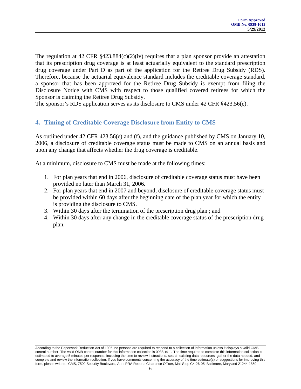<span id="page-5-0"></span>The regulation at 42 CFR  $\S 423.884(c)(2)(iv)$  requires that a plan sponsor provide an attestation that its prescription drug coverage is at least actuarially equivalent to the standard prescription drug coverage under Part D as part of the application for the Retiree Drug Subsidy (RDS). Therefore, because the actuarial equivalence standard includes the creditable coverage standard, a sponsor that has been approved for the Retiree Drug Subsidy is exempt from filing the Disclosure Notice with CMS with respect to those qualified covered retirees for which the Sponsor is claiming the Retiree Drug Subsidy.

The sponsor's RDS application serves as its disclosure to CMS under 42 CFR §423.56(e).

### **4. Timing of Creditable Coverage Disclosure from Entity to CMS**

As outlined under 42 CFR 423.56(e) and (f), and the guidance published by CMS on January 10, 2006, a disclosure of creditable coverage status must be made to CMS on an annual basis and upon any change that affects whether the drug coverage is creditable.

At a minimum, disclosure to CMS must be made at the following times:

- 1. For plan years that end in 2006, disclosure of creditable coverage status must have been provided no later than March 31, 2006.
- 2. For plan years that end in 2007 and beyond, disclosure of creditable coverage status must be provided within 60 days after the beginning date of the plan year for which the entity is providing the disclosure to CMS.
- 3. Within 30 days after the termination of the prescription drug plan ; and
- 4. Within 30 days after any change in the creditable coverage status of the prescription drug plan.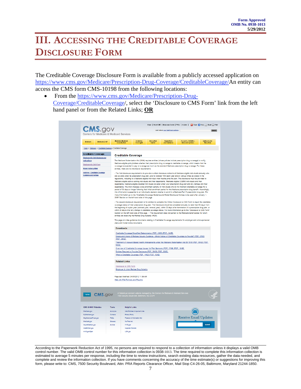# <span id="page-6-0"></span>**III. ACCESSING THE CREDITABLE COVERAGE DISCLOSURE FORM**

The Creditable Coverage Disclosure Form is available from a publicly accessed application on https://www.cms.gov/Medicare/Prescription-Drug-Coverage/CreditableCoverage/An entity can access the CMS form CMS-10198 from the following locations:

• From the https://www.cms.gov/Medicare/Prescription-Drug-Coverage/CreditableCoverage/, select the 'Disclosure to CMS Form' link from the left hand panel or from the Related Links; **OR** 

| Medicare<br>Home > Medicare > Creditable Coverage > Creditable Coverage<br><b>Creditable Coverage</b><br>Disclosure to CMS Guidance and<br>Instructions | <b>Medicald/CHIP</b>                                | Medicare-Medicald<br>Coordination                                                                                                                                                                                                                     | <b>h</b> surance               |                     |                                                                                                                                                    |                                                                                                                                                                                                                                                        |                                         |
|---------------------------------------------------------------------------------------------------------------------------------------------------------|-----------------------------------------------------|-------------------------------------------------------------------------------------------------------------------------------------------------------------------------------------------------------------------------------------------------------|--------------------------------|---------------------|----------------------------------------------------------------------------------------------------------------------------------------------------|--------------------------------------------------------------------------------------------------------------------------------------------------------------------------------------------------------------------------------------------------------|-----------------------------------------|
|                                                                                                                                                         |                                                     |                                                                                                                                                                                                                                                       | Overslaht                      | hnovation<br>Center | <b>Regulations</b><br>and Guidance                                                                                                                 | Research, Statistics,<br>Data and Systems                                                                                                                                                                                                              | <b>Cutreach and</b><br><b>Education</b> |
|                                                                                                                                                         |                                                     |                                                                                                                                                                                                                                                       |                                |                     |                                                                                                                                                    |                                                                                                                                                                                                                                                        |                                         |
|                                                                                                                                                         |                                                     | <b>Creditable Coverage</b>                                                                                                                                                                                                                            |                                |                     |                                                                                                                                                    |                                                                                                                                                                                                                                                        |                                         |
|                                                                                                                                                         |                                                     |                                                                                                                                                                                                                                                       |                                |                     |                                                                                                                                                    | The Medicare Modernization Act (MMA) requires entities (whose policies include prescription drug coverage) to notify                                                                                                                                   |                                         |
| <b>Disclosure to CMS Form</b>                                                                                                                           |                                                     |                                                                                                                                                                                                                                                       |                                |                     |                                                                                                                                                    | Medicare eligible policyholders whether their prescription drug coverage is creditable coverage, which means that the                                                                                                                                  |                                         |
|                                                                                                                                                         |                                                     |                                                                                                                                                                                                                                                       |                                |                     |                                                                                                                                                    | coverage is expected to pay on average as much as the standard Medicare prescription drug coverage. For these                                                                                                                                          |                                         |
| <b>Model Notice Letters</b>                                                                                                                             |                                                     | entities, there are two disclosure requirements:                                                                                                                                                                                                      |                                |                     |                                                                                                                                                    |                                                                                                                                                                                                                                                        |                                         |
| Archives - Creditable Coverage<br><b>Guldance and Notices</b>                                                                                           |                                                     | - The first disclosure requirement is to provide a written disclosure notice to all Medicare eligible individuals annually who<br>are covered under its prescription drug plan, prior to October 15th each year and at various times as stated in the |                                |                     |                                                                                                                                                    |                                                                                                                                                                                                                                                        |                                         |
|                                                                                                                                                         |                                                     |                                                                                                                                                                                                                                                       |                                |                     |                                                                                                                                                    | regulations, including to a Medicare eligible individual when he/she joins the plan. This disclosure must be provided to                                                                                                                               |                                         |
|                                                                                                                                                         |                                                     |                                                                                                                                                                                                                                                       |                                |                     |                                                                                                                                                    | Medicare eligible active working individuals and their dependents, Medicare eligible COBRA individuals and their<br>dependents, Medicare eligible disabled individuals covered under your prescription drug plan and any retirees and their            |                                         |
|                                                                                                                                                         |                                                     |                                                                                                                                                                                                                                                       |                                |                     |                                                                                                                                                    | dependents. The MMA imposes a late enrollment penalty on individuals who do not maintain creditable coverage for a                                                                                                                                     |                                         |
|                                                                                                                                                         |                                                     |                                                                                                                                                                                                                                                       |                                |                     |                                                                                                                                                    | period of 63 days or longer following their initial enrollment period for the Medicare prescription drug benefit. Accordingly,                                                                                                                         |                                         |
|                                                                                                                                                         |                                                     |                                                                                                                                                                                                                                                       |                                |                     |                                                                                                                                                    | this information is essential to an individual's decision whether to enroll in a Medicare Part D prescription drug plan. For<br>more information go to the "Creditable Coverage Guidance and Model Disclosure Notices to be used after January 1,      |                                         |
|                                                                                                                                                         |                                                     | 2009" Section on the left hand side of this page.                                                                                                                                                                                                     |                                |                     |                                                                                                                                                    |                                                                                                                                                                                                                                                        |                                         |
|                                                                                                                                                         |                                                     |                                                                                                                                                                                                                                                       |                                |                     |                                                                                                                                                    | . The second disclosure requirement is for entities to complete the Online Disclosure to CMS Form to report the creditable                                                                                                                             |                                         |
|                                                                                                                                                         |                                                     |                                                                                                                                                                                                                                                       |                                |                     |                                                                                                                                                    | coverage status of their prescription drug plan. The Disclosure should be completed annually no later than 60 days from                                                                                                                                |                                         |
|                                                                                                                                                         |                                                     |                                                                                                                                                                                                                                                       |                                |                     |                                                                                                                                                    | the beginning of a plan year (contract year, renewal year), within 30 days after termination of a prescription drug plan, or<br>within 30 days after any change in creditable coverage status. For more information go to the "Disclosure to CMS Form" |                                         |
|                                                                                                                                                         |                                                     |                                                                                                                                                                                                                                                       |                                |                     |                                                                                                                                                    | Section on the left hand side of this page. -- This requirement does not pertain to the Medicare beneficiaries for whom                                                                                                                                |                                         |
|                                                                                                                                                         |                                                     | entities are receiving the Retiree Drug Subsidy (RDS).                                                                                                                                                                                                |                                |                     |                                                                                                                                                    |                                                                                                                                                                                                                                                        |                                         |
|                                                                                                                                                         |                                                     |                                                                                                                                                                                                                                                       |                                |                     |                                                                                                                                                    | This page provides guidance documents relating to Creditable Coverage requirements for employer and union-sponsored                                                                                                                                    |                                         |
|                                                                                                                                                         |                                                     | plans and model notice documents.                                                                                                                                                                                                                     |                                |                     |                                                                                                                                                    |                                                                                                                                                                                                                                                        |                                         |
|                                                                                                                                                         |                                                     | <b>Downloads</b>                                                                                                                                                                                                                                      |                                |                     |                                                                                                                                                    |                                                                                                                                                                                                                                                        |                                         |
|                                                                                                                                                         |                                                     | Creditable Coverage Simplified Determination (PDF, 12KB) [PDF, 14KB]                                                                                                                                                                                  |                                |                     |                                                                                                                                                    |                                                                                                                                                                                                                                                        |                                         |
|                                                                                                                                                         |                                                     |                                                                                                                                                                                                                                                       |                                |                     |                                                                                                                                                    | Employers/Unions & Medigap Issuers Guidance - Which Notice of Creditable Coverage to Provide? (PDF, 37KB)                                                                                                                                              |                                         |
|                                                                                                                                                         |                                                     | <b>IPDF, 36KB1</b>                                                                                                                                                                                                                                    |                                |                     |                                                                                                                                                    |                                                                                                                                                                                                                                                        |                                         |
|                                                                                                                                                         |                                                     | 63KB1                                                                                                                                                                                                                                                 |                                |                     |                                                                                                                                                    | Treatment of Account-Based Health Arrangements under the Medicare Modernization Act 06/15/05 (PDF, 55KB) [PDF,                                                                                                                                         |                                         |
|                                                                                                                                                         |                                                     |                                                                                                                                                                                                                                                       |                                |                     |                                                                                                                                                    |                                                                                                                                                                                                                                                        |                                         |
| Overview of Creditable Coverage Issues for Plan Sponsors (PDF, 17KB) [PDF, 18KB]<br>Entities Required to Provide Disclosure (PDF, 36KB) [PDF, 35KB]     |                                                     |                                                                                                                                                                                                                                                       |                                |                     |                                                                                                                                                    |                                                                                                                                                                                                                                                        |                                         |
|                                                                                                                                                         | What is Creditable Coverage (PDF, 14KB) [PDF, 13KB] |                                                                                                                                                                                                                                                       |                                |                     |                                                                                                                                                    |                                                                                                                                                                                                                                                        |                                         |
|                                                                                                                                                         |                                                     | <b>Related Links</b>                                                                                                                                                                                                                                  |                                |                     |                                                                                                                                                    |                                                                                                                                                                                                                                                        |                                         |
| Disclosure to CMS Form                                                                                                                                  |                                                     |                                                                                                                                                                                                                                                       |                                |                     |                                                                                                                                                    |                                                                                                                                                                                                                                                        |                                         |
| Employer & Union Retiree Drug Subsidy                                                                                                                   |                                                     |                                                                                                                                                                                                                                                       |                                |                     |                                                                                                                                                    |                                                                                                                                                                                                                                                        |                                         |
| Page last Modified: 04/05/2012 11:39 AM                                                                                                                 |                                                     |                                                                                                                                                                                                                                                       |                                |                     |                                                                                                                                                    |                                                                                                                                                                                                                                                        |                                         |
| Help with File Formats and Plug-Ins                                                                                                                     |                                                     |                                                                                                                                                                                                                                                       |                                |                     |                                                                                                                                                    |                                                                                                                                                                                                                                                        |                                         |
|                                                                                                                                                         |                                                     |                                                                                                                                                                                                                                                       |                                |                     |                                                                                                                                                    |                                                                                                                                                                                                                                                        |                                         |
| Home                                                                                                                                                    |                                                     |                                                                                                                                                                                                                                                       |                                |                     | <b>CMS.COV</b> A federal government website managed by the Centers for Medicare & Medicard Service<br>7500 Security Boulevard, Baltimore, MD 21244 |                                                                                                                                                                                                                                                        |                                         |
|                                                                                                                                                         |                                                     |                                                                                                                                                                                                                                                       |                                |                     |                                                                                                                                                    |                                                                                                                                                                                                                                                        |                                         |
| <b>CMS &amp; HHS Websites</b>                                                                                                                           | Tools                                               | <b>Helpful Links</b>                                                                                                                                                                                                                                  |                                |                     |                                                                                                                                                    |                                                                                                                                                                                                                                                        |                                         |
| Medicare.gov                                                                                                                                            | Acronyms                                            |                                                                                                                                                                                                                                                       | Web Policies & Important Links |                     |                                                                                                                                                    |                                                                                                                                                                                                                                                        |                                         |
| MyMedicare.gov                                                                                                                                          | Contacts                                            | Privacy Policy                                                                                                                                                                                                                                        |                                |                     |                                                                                                                                                    |                                                                                                                                                                                                                                                        |                                         |
| StopMedicareFraud onv                                                                                                                                   | <b>FAOS</b>                                         |                                                                                                                                                                                                                                                       | Freedom of Information Act     |                     |                                                                                                                                                    | <b>Receive Email Updates</b>                                                                                                                                                                                                                           |                                         |
| Medicald.gov                                                                                                                                            | Glossary                                            | No Fear Act                                                                                                                                                                                                                                           |                                |                     |                                                                                                                                                    |                                                                                                                                                                                                                                                        |                                         |
| InsureKidsNow.gov                                                                                                                                       | Archive                                             | HHS.gov                                                                                                                                                                                                                                               |                                |                     |                                                                                                                                                    |                                                                                                                                                                                                                                                        | <b>Submit</b>                           |
| HealthCare on/<br>HHS.gov/Open                                                                                                                          |                                                     | Inspector General<br>USA gov                                                                                                                                                                                                                          |                                |                     |                                                                                                                                                    |                                                                                                                                                                                                                                                        |                                         |

According to the Paperwork Reduction Act of 1995, no persons are required to respond to a collection of information unless it displays a valid OMB<br>control number. The valid OMB control number for this information collectio estimated to average 5 minutes per response, including the time to review instructions, search existing data resources, gather the data needed, and complete and review the information collection. If you have comments concerning the accuracy of the time estimate(s) or suggestions for improving this form, please write to: CMS, 7500 Security Boulevard, Attn: PRA Reports Clearance Officer, Mail Stop C4-26-05, Baltimore, Maryland 21244-1850.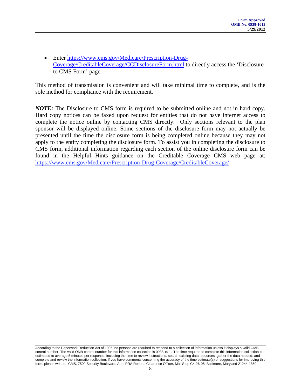• Enter [https://www.cms.gov/Medicare/Prescription-Drug-](https://www.cms.gov/Medicare/Prescription-Drug-Coverage/CreditableCoverage/CCDisclosureForm.html)[Coverage/CreditableCoverage/CCDisclosureForm.html](https://www.cms.gov/Medicare/Prescription-Drug-Coverage/CreditableCoverage/CCDisclosureForm.html) to directly access the 'Disclosure to CMS Form' page.

This method of transmission is convenient and will take minimal time to complete, and is the sole method for compliance with the requirement.

*NOTE:* The Disclosure to CMS form is required to be submitted online and not in hard copy. Hard copy notices can be faxed upon request for entities that do not have internet access to complete the notice online by contacting CMS directly. Only sections relevant to the plan sponsor will be displayed online. Some sections of the disclosure form may not actually be presented until the time the disclosure form is being completed online because they may not apply to the entity completing the disclosure form. To assist you in completing the disclosure to CMS form, additional information regarding each section of the online disclosure form can be found in the Helpful Hints guidance on the Creditable Coverage CMS web page at: https://www.cms.gov/Medicare/Prescription-Drug-Coverage/CreditableCoverage/

According to the Paperwork Reduction Act of 1995, no persons are required to respond to a collection of information unless it displays a valid OMB control number. The valid OMB control number for this information collection is 0938-1013. The time required to complete this information collection is estimated to average 5 minutes per response, including the time to review instructions, search existing data resources, gather the data needed, and complete and review the information collection. If you have comments concerning the accuracy of the time estimate(s) or suggestions for improving this form, please write to: CMS, 7500 Security Boulevard, Attn: PRA Reports Clearance Officer, Mail Stop C4-26-05, Baltimore, Maryland 21244-1850.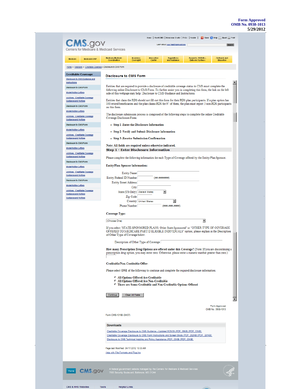#### **Form Approved OMB No. 0938-1013 5/29/2012**

| Centers for Medicare & Medicaid Services<br><b>Innovation</b><br><b>Regulations</b><br>Research, Statistics,<br><b>Cutreach and</b><br>Medicare-Medicald<br><b>Insurance</b><br>Medicald/CHIP<br>Medicare<br>and Guidance<br>Oversight<br>Data and Systems<br><b>Education</b><br>Coordination<br>Center<br>Home > Medicare > Creditable Coverage > Disclosure to CMS Form<br><b>Creditable Coverage</b><br><b>Disclosure to CMS Form</b><br>Disclosure to CMS Guidance and<br>Instructions<br>Entities that are required to provide a disclosure of creditable coverage status to CMS must complete the<br><b>Disclosure to CMS Form</b><br>following online Disclosure to CMS Form. To further assist you in completing this form, the link on the left<br>Model Notice Letters<br>side of this webpage may help: Disclosure to CMS Guidance and Instructions.<br>Archives - Creditable Coverage<br>Entities that claim the RDS should not fill out this form for their RDS plan participants. If a plan option has<br><b>Guidance and Notices</b><br>100 retired beneficiaries and the plan claims RDS for 97 of them, the plan must report 3 non-RDS participants<br><b>Disclosure to CMS Form</b><br>on this form.<br><b>Model Notice Letters</b><br>The disclosure submission process is composed of the following steps to complete the online Creditable<br>Archives - Creditable Coverage<br>Coverage Disclosure Form:<br><b>Guidance and Notices</b><br><b>Disclosure to CMS Form</b><br>• Step 1 - Enter the Disclosure Information<br><b>Model Notice Letters</b><br>• Step 2 -Verify and Submit Disclosure Information<br>Archives - Creditable Coverage<br><b>Guidance and Notices</b><br>• Step 3 - Receive Submission Confirmation<br><b>Disclosure to CMS Form</b><br>Note: All fields are required unless otherwise indicated.<br><b>Model Notice Letters</b><br>Step 1 - Enter Disclosure Information<br>Archives - Creditable Coverage<br><b>Guidance and Notices</b><br>Please complete the following information for each Type of Coverage offered by the Entity/Plan Sponsor.<br><b>Disclosure to CMS Form</b><br><b>Entity/Plan Sponsor Information:</b><br><b>Model Notice Letters</b><br>Archives - Creditable Coverage<br><b>Entity Name</b><br><b>Guidance and Notices</b><br>Entity Federal ID Number<br>(##_#######)<br><b>Disclosure to CMS Form</b><br><b>Entity Street Address</b><br>Model Notice Letters<br>City<br>Archives - Creditable Coverage<br>$\overline{\phantom{a}}$<br>State (US Only) (Select State)<br><b>Guldance and Notices</b><br>Zip Code<br><b>Guidance and Notices</b><br>$\overline{\phantom{a}}$<br>Country   United States<br>Phone Number<br>(###-###-####)<br>Coverage Type:<br>Ξ<br>(Choose One)<br>If you select "STATE-SPONSORED PLANS: Other State-Sponsored" or "OTHER TYPE OF COVERAGE<br>OFFERED TO MEDICARE PART D ELIGIBLE INDIVIDUALS" option, please explain in the Description<br>of Other Type of Coverage below.<br>Description of Other Type of Coverage<br>How many Prescription Drug Options are offered under this Coverage? (Note: If you are discontinuing a<br>prescription drug option, you may enter zero. Otherwise, please enter a numeric number greater than zero.)<br>Creditable/Non-Creditable Offer:<br>Please select ONE of the following to continue and complete the required disclosure information.<br><sup>O</sup> All Options Offered Are Creditable<br>C All Options Offered Are Non-Creditable<br>C There are Some Creditable and Non-Creditable Options Offered<br>Continue<br>Clear All Fields<br>Form Approved<br>OMB No. 0938-1013 |
|-------------------------------------------------------------------------------------------------------------------------------------------------------------------------------------------------------------------------------------------------------------------------------------------------------------------------------------------------------------------------------------------------------------------------------------------------------------------------------------------------------------------------------------------------------------------------------------------------------------------------------------------------------------------------------------------------------------------------------------------------------------------------------------------------------------------------------------------------------------------------------------------------------------------------------------------------------------------------------------------------------------------------------------------------------------------------------------------------------------------------------------------------------------------------------------------------------------------------------------------------------------------------------------------------------------------------------------------------------------------------------------------------------------------------------------------------------------------------------------------------------------------------------------------------------------------------------------------------------------------------------------------------------------------------------------------------------------------------------------------------------------------------------------------------------------------------------------------------------------------------------------------------------------------------------------------------------------------------------------------------------------------------------------------------------------------------------------------------------------------------------------------------------------------------------------------------------------------------------------------------------------------------------------------------------------------------------------------------------------------------------------------------------------------------------------------------------------------------------------------------------------------------------------------------------------------------------------------------------------------------------------------------------------------------------------------------------------------------------------------------------------------------------------------------------------------------------------------------------------------------------------------------------------------------------------------------------------------------------------------------------------------------------------------------------------------------------------------------------------------------------------------------------------------------------------------------------------------------------------------------------------------------------------------------------------------------------------------------------------------------------------------------------------------------------------------------------------------------------------------------------------------------------------------------------------------------------------------------------------------------------------------|
|                                                                                                                                                                                                                                                                                                                                                                                                                                                                                                                                                                                                                                                                                                                                                                                                                                                                                                                                                                                                                                                                                                                                                                                                                                                                                                                                                                                                                                                                                                                                                                                                                                                                                                                                                                                                                                                                                                                                                                                                                                                                                                                                                                                                                                                                                                                                                                                                                                                                                                                                                                                                                                                                                                                                                                                                                                                                                                                                                                                                                                                                                                                                                                                                                                                                                                                                                                                                                                                                                                                                                                                                                                           |
|                                                                                                                                                                                                                                                                                                                                                                                                                                                                                                                                                                                                                                                                                                                                                                                                                                                                                                                                                                                                                                                                                                                                                                                                                                                                                                                                                                                                                                                                                                                                                                                                                                                                                                                                                                                                                                                                                                                                                                                                                                                                                                                                                                                                                                                                                                                                                                                                                                                                                                                                                                                                                                                                                                                                                                                                                                                                                                                                                                                                                                                                                                                                                                                                                                                                                                                                                                                                                                                                                                                                                                                                                                           |
|                                                                                                                                                                                                                                                                                                                                                                                                                                                                                                                                                                                                                                                                                                                                                                                                                                                                                                                                                                                                                                                                                                                                                                                                                                                                                                                                                                                                                                                                                                                                                                                                                                                                                                                                                                                                                                                                                                                                                                                                                                                                                                                                                                                                                                                                                                                                                                                                                                                                                                                                                                                                                                                                                                                                                                                                                                                                                                                                                                                                                                                                                                                                                                                                                                                                                                                                                                                                                                                                                                                                                                                                                                           |
|                                                                                                                                                                                                                                                                                                                                                                                                                                                                                                                                                                                                                                                                                                                                                                                                                                                                                                                                                                                                                                                                                                                                                                                                                                                                                                                                                                                                                                                                                                                                                                                                                                                                                                                                                                                                                                                                                                                                                                                                                                                                                                                                                                                                                                                                                                                                                                                                                                                                                                                                                                                                                                                                                                                                                                                                                                                                                                                                                                                                                                                                                                                                                                                                                                                                                                                                                                                                                                                                                                                                                                                                                                           |
|                                                                                                                                                                                                                                                                                                                                                                                                                                                                                                                                                                                                                                                                                                                                                                                                                                                                                                                                                                                                                                                                                                                                                                                                                                                                                                                                                                                                                                                                                                                                                                                                                                                                                                                                                                                                                                                                                                                                                                                                                                                                                                                                                                                                                                                                                                                                                                                                                                                                                                                                                                                                                                                                                                                                                                                                                                                                                                                                                                                                                                                                                                                                                                                                                                                                                                                                                                                                                                                                                                                                                                                                                                           |
|                                                                                                                                                                                                                                                                                                                                                                                                                                                                                                                                                                                                                                                                                                                                                                                                                                                                                                                                                                                                                                                                                                                                                                                                                                                                                                                                                                                                                                                                                                                                                                                                                                                                                                                                                                                                                                                                                                                                                                                                                                                                                                                                                                                                                                                                                                                                                                                                                                                                                                                                                                                                                                                                                                                                                                                                                                                                                                                                                                                                                                                                                                                                                                                                                                                                                                                                                                                                                                                                                                                                                                                                                                           |
|                                                                                                                                                                                                                                                                                                                                                                                                                                                                                                                                                                                                                                                                                                                                                                                                                                                                                                                                                                                                                                                                                                                                                                                                                                                                                                                                                                                                                                                                                                                                                                                                                                                                                                                                                                                                                                                                                                                                                                                                                                                                                                                                                                                                                                                                                                                                                                                                                                                                                                                                                                                                                                                                                                                                                                                                                                                                                                                                                                                                                                                                                                                                                                                                                                                                                                                                                                                                                                                                                                                                                                                                                                           |
|                                                                                                                                                                                                                                                                                                                                                                                                                                                                                                                                                                                                                                                                                                                                                                                                                                                                                                                                                                                                                                                                                                                                                                                                                                                                                                                                                                                                                                                                                                                                                                                                                                                                                                                                                                                                                                                                                                                                                                                                                                                                                                                                                                                                                                                                                                                                                                                                                                                                                                                                                                                                                                                                                                                                                                                                                                                                                                                                                                                                                                                                                                                                                                                                                                                                                                                                                                                                                                                                                                                                                                                                                                           |
|                                                                                                                                                                                                                                                                                                                                                                                                                                                                                                                                                                                                                                                                                                                                                                                                                                                                                                                                                                                                                                                                                                                                                                                                                                                                                                                                                                                                                                                                                                                                                                                                                                                                                                                                                                                                                                                                                                                                                                                                                                                                                                                                                                                                                                                                                                                                                                                                                                                                                                                                                                                                                                                                                                                                                                                                                                                                                                                                                                                                                                                                                                                                                                                                                                                                                                                                                                                                                                                                                                                                                                                                                                           |
|                                                                                                                                                                                                                                                                                                                                                                                                                                                                                                                                                                                                                                                                                                                                                                                                                                                                                                                                                                                                                                                                                                                                                                                                                                                                                                                                                                                                                                                                                                                                                                                                                                                                                                                                                                                                                                                                                                                                                                                                                                                                                                                                                                                                                                                                                                                                                                                                                                                                                                                                                                                                                                                                                                                                                                                                                                                                                                                                                                                                                                                                                                                                                                                                                                                                                                                                                                                                                                                                                                                                                                                                                                           |
|                                                                                                                                                                                                                                                                                                                                                                                                                                                                                                                                                                                                                                                                                                                                                                                                                                                                                                                                                                                                                                                                                                                                                                                                                                                                                                                                                                                                                                                                                                                                                                                                                                                                                                                                                                                                                                                                                                                                                                                                                                                                                                                                                                                                                                                                                                                                                                                                                                                                                                                                                                                                                                                                                                                                                                                                                                                                                                                                                                                                                                                                                                                                                                                                                                                                                                                                                                                                                                                                                                                                                                                                                                           |
|                                                                                                                                                                                                                                                                                                                                                                                                                                                                                                                                                                                                                                                                                                                                                                                                                                                                                                                                                                                                                                                                                                                                                                                                                                                                                                                                                                                                                                                                                                                                                                                                                                                                                                                                                                                                                                                                                                                                                                                                                                                                                                                                                                                                                                                                                                                                                                                                                                                                                                                                                                                                                                                                                                                                                                                                                                                                                                                                                                                                                                                                                                                                                                                                                                                                                                                                                                                                                                                                                                                                                                                                                                           |
|                                                                                                                                                                                                                                                                                                                                                                                                                                                                                                                                                                                                                                                                                                                                                                                                                                                                                                                                                                                                                                                                                                                                                                                                                                                                                                                                                                                                                                                                                                                                                                                                                                                                                                                                                                                                                                                                                                                                                                                                                                                                                                                                                                                                                                                                                                                                                                                                                                                                                                                                                                                                                                                                                                                                                                                                                                                                                                                                                                                                                                                                                                                                                                                                                                                                                                                                                                                                                                                                                                                                                                                                                                           |
|                                                                                                                                                                                                                                                                                                                                                                                                                                                                                                                                                                                                                                                                                                                                                                                                                                                                                                                                                                                                                                                                                                                                                                                                                                                                                                                                                                                                                                                                                                                                                                                                                                                                                                                                                                                                                                                                                                                                                                                                                                                                                                                                                                                                                                                                                                                                                                                                                                                                                                                                                                                                                                                                                                                                                                                                                                                                                                                                                                                                                                                                                                                                                                                                                                                                                                                                                                                                                                                                                                                                                                                                                                           |
|                                                                                                                                                                                                                                                                                                                                                                                                                                                                                                                                                                                                                                                                                                                                                                                                                                                                                                                                                                                                                                                                                                                                                                                                                                                                                                                                                                                                                                                                                                                                                                                                                                                                                                                                                                                                                                                                                                                                                                                                                                                                                                                                                                                                                                                                                                                                                                                                                                                                                                                                                                                                                                                                                                                                                                                                                                                                                                                                                                                                                                                                                                                                                                                                                                                                                                                                                                                                                                                                                                                                                                                                                                           |
|                                                                                                                                                                                                                                                                                                                                                                                                                                                                                                                                                                                                                                                                                                                                                                                                                                                                                                                                                                                                                                                                                                                                                                                                                                                                                                                                                                                                                                                                                                                                                                                                                                                                                                                                                                                                                                                                                                                                                                                                                                                                                                                                                                                                                                                                                                                                                                                                                                                                                                                                                                                                                                                                                                                                                                                                                                                                                                                                                                                                                                                                                                                                                                                                                                                                                                                                                                                                                                                                                                                                                                                                                                           |
|                                                                                                                                                                                                                                                                                                                                                                                                                                                                                                                                                                                                                                                                                                                                                                                                                                                                                                                                                                                                                                                                                                                                                                                                                                                                                                                                                                                                                                                                                                                                                                                                                                                                                                                                                                                                                                                                                                                                                                                                                                                                                                                                                                                                                                                                                                                                                                                                                                                                                                                                                                                                                                                                                                                                                                                                                                                                                                                                                                                                                                                                                                                                                                                                                                                                                                                                                                                                                                                                                                                                                                                                                                           |
|                                                                                                                                                                                                                                                                                                                                                                                                                                                                                                                                                                                                                                                                                                                                                                                                                                                                                                                                                                                                                                                                                                                                                                                                                                                                                                                                                                                                                                                                                                                                                                                                                                                                                                                                                                                                                                                                                                                                                                                                                                                                                                                                                                                                                                                                                                                                                                                                                                                                                                                                                                                                                                                                                                                                                                                                                                                                                                                                                                                                                                                                                                                                                                                                                                                                                                                                                                                                                                                                                                                                                                                                                                           |
|                                                                                                                                                                                                                                                                                                                                                                                                                                                                                                                                                                                                                                                                                                                                                                                                                                                                                                                                                                                                                                                                                                                                                                                                                                                                                                                                                                                                                                                                                                                                                                                                                                                                                                                                                                                                                                                                                                                                                                                                                                                                                                                                                                                                                                                                                                                                                                                                                                                                                                                                                                                                                                                                                                                                                                                                                                                                                                                                                                                                                                                                                                                                                                                                                                                                                                                                                                                                                                                                                                                                                                                                                                           |
|                                                                                                                                                                                                                                                                                                                                                                                                                                                                                                                                                                                                                                                                                                                                                                                                                                                                                                                                                                                                                                                                                                                                                                                                                                                                                                                                                                                                                                                                                                                                                                                                                                                                                                                                                                                                                                                                                                                                                                                                                                                                                                                                                                                                                                                                                                                                                                                                                                                                                                                                                                                                                                                                                                                                                                                                                                                                                                                                                                                                                                                                                                                                                                                                                                                                                                                                                                                                                                                                                                                                                                                                                                           |
| Form CMS-10198 (04/07)<br><b>Downloads</b><br>Creditable Coverage Disclosure to CMS Guidance - Updated 6/29/09 (PDF, 36KB) [PDF, 37KB]<br>Creditable Coverage Disclosure to CMS Form Instructions and Screen Shots (PDF, 282KB) [PDF, 281KB]<br>Disclosure to CMS Technical Helpline and Policy Assistance (PDF, 23KB) [PDF, 23KB]<br>Page last Modified: 04/17/2012 10:03 AM<br>Help with File Formats and Plug-Ins                                                                                                                                                                                                                                                                                                                                                                                                                                                                                                                                                                                                                                                                                                                                                                                                                                                                                                                                                                                                                                                                                                                                                                                                                                                                                                                                                                                                                                                                                                                                                                                                                                                                                                                                                                                                                                                                                                                                                                                                                                                                                                                                                                                                                                                                                                                                                                                                                                                                                                                                                                                                                                                                                                                                                                                                                                                                                                                                                                                                                                                                                                                                                                                                                      |

CMS & HHS Websites

**Helpful Links** 

Tools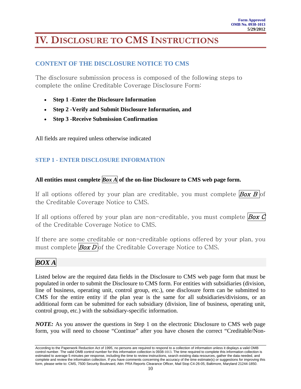# <span id="page-9-0"></span>**IV. DISCLOSURE TO CMS INSTRUCTIONS**

## **CONTENT OF THE DISCLOSURE NOTICE TO CMS**

The disclosure submission process is composed of the following steps to complete the online Creditable Coverage Disclosure Form:

- **Step 1 -Enter the Disclosure Information**
- **Step 2 -Verify and Submit Disclosure Information, and**
- **Step 3 -Receive Submission Confirmation**

All fields are required unless otherwise indicated

### **STEP 1 - ENTER DISCLOSURE INFORMATION**

### **All entities must complete** *Box A* **of the on-line Disclosure to CMS web page form.**

If all options offered by your plan are creditable, you must complete  $Box B$  of the Creditable Coverage Notice to CMS.

If all options offered by your plan are non-creditable, you must complete  $Box$   $\vec{G}$ of the Creditable Coverage Notice to CMS.

If there are some creditable or non-creditable options offered by your plan, you must complete  $\beta_{OX} D$  of the Creditable Coverage Notice to CMS.

# *BOX A*

Listed below are the required data fields in the Disclosure to CMS web page form that must be populated in order to submit the Disclosure to CMS form. For entities with subsidiaries (division, line of business, operating unit, control group, etc.), one disclosure form can be submitted to CMS for the entire entity if the plan year is the same for all subsidiaries/divisions, or an additional form can be submitted for each subsidiary (division, line of business, operating unit, control group, etc.) with the subsidiary-specific information.

*NOTE:* As you answer the questions in Step 1 on the electronic Disclosure to CMS web page form, you will need to choose "Continue" after you have chosen the correct "Creditable/Non-

According to the Paperwork Reduction Act of 1995, no persons are required to respond to a collection of information unless it displays a valid OMB control number. The valid OMB control number for this information collection is 0938-1013. The time required to complete this information collection is estimated to average 5 minutes per response, including the time to review instructions, search existing data resources, gather the data needed, and complete and review the information collection. If you have comments concerning the accuracy of the time estimate(s) or suggestions for improving this form, please write to: CMS, 7500 Security Boulevard, Attn: PRA Reports Clearance Officer, Mail Stop C4-26-05, Baltimore, Maryland 21244-1850.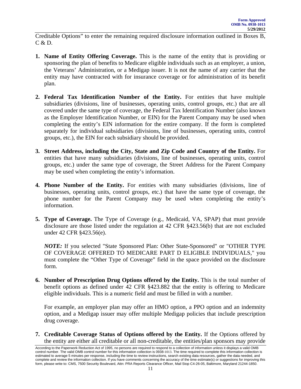Creditable Options" to enter the remaining required disclosure information outlined in Boxes B,  $C & D.$ 

- **1. Name of Entity Offering Coverage.** This is the name of the entity that is providing or sponsoring the plan of benefits to Medicare eligible individuals such as an employer, a union, the Veterans' Administration, or a Medigap issuer. It is not the name of any carrier that the entity may have contracted with for insurance coverage or for administration of its benefit plan.
- **2. Federal Tax Identification Number of the Entity.** For entities that have multiple subsidiaries (divisions, line of businesses, operating units, control groups, etc.) that are all covered under the same type of coverage, the Federal Tax Identification Number (also known as the Employer Identification Number, or EIN) for the Parent Company may be used when completing the entity's EIN information for the entire company. If the form is completed separately for individual subsidiaries (divisions, line of businesses, operating units, control groups, etc.), the EIN for each subsidiary should be provided.
- **3. Street Address, including the City, State and Zip Code and Country of the Entity.** For entities that have many subsidiaries (divisions, line of businesses, operating units, control groups, etc.) under the same type of coverage, the Street Address for the Parent Company may be used when completing the entity's information.
- **4. Phone Number of the Entity.** For entities with many subsidiaries (divisions, line of businesses, operating units, control groups, etc.) that have the same type of coverage, the phone number for the Parent Company may be used when completing the entity's information.
- **5. Type of Coverage.** The Type of Coverage (e.g., Medicaid, VA, SPAP) that must provide disclosure are those listed under the regulation at 42 CFR §423.56(b) that are not excluded under 42 CFR §423.56(e).

*NOTE:* If you selected "State Sponsored Plan: Other State-Sponsored" or "OTHER TYPE OF COVERAGE OFFERED TO MEDICARE PART D ELIGIBLE INDIVIDUALS," you must complete the "Other Type of Coverage" field in the space provided on the disclosure form.

**6. Number of Prescription Drug Options offered by the Entity.** This is the total number of benefit options as defined under 42 CFR §423.882 that the entity is offering to Medicare eligible individuals. This is a numeric field and must be filled in with a number.

For example, an employer plan may offer an HMO option, a PPO option and an indemnity option, and a Medigap issuer may offer multiple Medigap policies that include prescription drug coverage.

**7. Creditable Coverage Status of Options offered by the Entity.** If the Options offered by the entity are either all creditable or all non-creditable, the entities/plan sponsors may provide

According to the Paperwork Reduction Act of 1995, no persons are required to respond to a collection of information unless it displays a valid OMB control number. The valid OMB control number for this information collection is 0938-1013. The time required to complete this information collection is estimated to average 5 minutes per response, including the time to review instructions, search existing data resources, gather the data needed, and complete and review the information collection. If you have comments concerning the accuracy of the time estimate(s) or suggestions for improving this form, please write to: CMS, 7500 Security Boulevard, Attn: PRA Reports Clearance Officer, Mail Stop C4-26-05, Baltimore, Maryland 21244-1850.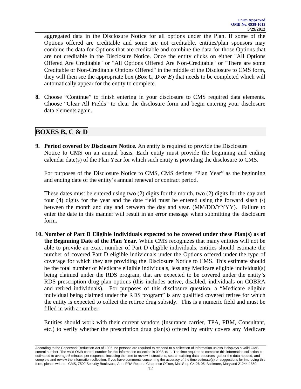aggregated data in the Disclosure Notice for all options under the Plan. If some of the Options offered are creditable and some are not creditable, entities/plan sponsors may combine the data for Options that are creditable and combine the data for those Options that are not creditable in the Disclosure Notice. Once the entity clicks on either "All Options Offered Are Creditable" or "All Options Offered Are Non-Creditable" or "There are some Creditable or Non-Creditable Options Offered" in the middle of the Disclosure to CMS form, they will then see the appropriate box (*Box C, D or E*) that needs to be completed which will automatically appear for the entity to complete.

**8.** Choose "Continue" to finish entering in your disclosure to CMS required data elements. Choose "Clear All Fields" to clear the disclosure form and begin entering your disclosure data elements again.

### **BOXES B, C & D**

**9. Period covered by Disclosure Notice.** An entity is required to provide the Disclosure Notice to CMS on an annual basis. Each entity must provide the beginning and ending calendar date(s) of the Plan Year for which such entity is providing the disclosure to CMS.

For purposes of the Disclosure Notice to CMS, CMS defines "Plan Year" as the beginning and ending date of the entity's annual renewal or contract period.

These dates must be entered using two (2) digits for the month, two (2) digits for the day and four (4) digits for the year and the date field must be entered using the forward slash  $\binom{n}{k}$ between the month and day and between the day and year. (MM/DD/YYYY). Failure to enter the date in this manner will result in an error message when submitting the disclosure form.

**10. Number of Part D Eligible Individuals expected to be covered under these Plan(s) as of the Beginning Date of the Plan Year.** While CMS recognizes that many entities will not be able to provide an exact number of Part D eligible individuals, entities should estimate the number of covered Part D eligible individuals under the Options offered under the type of coverage for which they are providing the Disclosure Notice to CMS. This estimate should be the total number of Medicare eligible individuals, less any Medicare eligible individual(s) being claimed under the RDS program, that are expected to be covered under the entity's RDS prescription drug plan options (this includes active, disabled, individuals on COBRA and retired individuals). For purposes of this disclosure question, a "Medicare eligible individual being claimed under the RDS program" is any qualified covered retiree for which the entity is expected to collect the retiree drug subsidy. This is a numeric field and must be filled in with a number.

Entities should work with their current vendors (Insurance carrier, TPA, PBM, Consultant, etc.) to verify whether the prescription drug plan(s) offered by entity covers any Medicare

According to the Paperwork Reduction Act of 1995, no persons are required to respond to a collection of information unless it displays a valid OMB control number. The valid OMB control number for this information collection is 0938-1013. The time required to complete this information collection is estimated to average 5 minutes per response, including the time to review instructions, search existing data resources, gather the data needed, and complete and review the information collection. If you have comments concerning the accuracy of the time estimate(s) or suggestions for improving this form, please write to: CMS, 7500 Security Boulevard, Attn: PRA Reports Clearance Officer, Mail Stop C4-26-05, Baltimore, Maryland 21244-1850.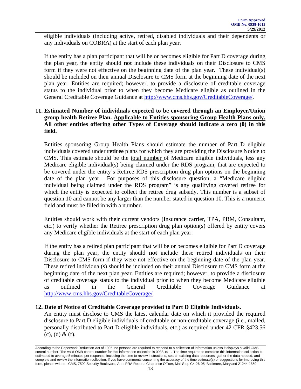eligible individuals (including active, retired, disabled individuals and their dependents or any individuals on COBRA) at the start of each plan year.

If the entity has a plan participant that will be or becomes eligible for Part D coverage during the plan year, the entity should **not** include these individuals on their Disclosure to CMS form if they were not effective on the beginning date of the plan year. These individual(s) should be included on their annual Disclosure to CMS form at the beginning date of the next plan year. Entities are required; however, to provide a disclosure of creditable coverage status to the individual prior to when they become Medicare eligible as outlined in the General Creditable Coverage Guidance at [http://www.cms.hhs.gov/CreditableCoverage/.](http://www.cms.hhs.gov/CreditableCoverage/)

### **11. Estimated Number of individuals expected to be covered through an Employer/Union group health Retiree Plan. Applicable to Entities sponsoring Group Health Plans only. All other entities offering other Types of Coverage should indicate a zero (0) in this field.**

Entities sponsoring Group Health Plans should estimate the number of Part D eligible individuals covered under **retiree** plans for which they are providing the Disclosure Notice to CMS. This estimate should be the total number of Medicare eligible individuals, less any Medicare eligible individual(s) being claimed under the RDS program, that are expected to be covered under the entity's Retiree RDS prescription drug plan options on the beginning date of the plan year. For purposes of this disclosure question, a "Medicare eligible individual being claimed under the RDS program" is any qualifying covered retiree for which the entity is expected to collect the retiree drug subsidy. This number is a subset of question 10 and cannot be any larger than the number stated in question 10. This is a numeric field and must be filled in with a number.

Entities should work with their current vendors (Insurance carrier, TPA, PBM, Consultant, etc.) to verify whether the Retiree prescription drug plan option(s) offered by entity covers any Medicare eligible individuals at the start of each plan year.

If the entity has a retired plan participant that will be or becomes eligible for Part D coverage during the plan year, the entity should **not** include these retired individuals on their Disclosure to CMS form if they were not effective on the beginning date of the plan year. These retired individual(s) should be included on their annual Disclosure to CMS form at the beginning date of the next plan year. Entities are required; however, to provide a disclosure of creditable coverage status to the individual prior to when they become Medicare eligible as outlined in the General Creditable Coverage Guidance at <http://www.cms.hhs.gov/CreditableCoverage/>.

### **12. Date of Notice of Creditable Coverage provided to Part D Eligible Individuals.**

An entity must disclose to CMS the latest calendar date on which it provided the required disclosure to Part D eligible individuals of creditable or non-creditable coverage (i.e., mailed, personally distributed to Part D eligible individuals, etc.) as required under 42 CFR §423.56  $(c)$ ,  $(d)$  &  $(f)$ .

According to the Paperwork Reduction Act of 1995, no persons are required to respond to a collection of information unless it displays a valid OMB control number. The valid OMB control number for this information collection is 0938-1013. The time required to complete this information collection is estimated to average 5 minutes per response, including the time to review instructions, search existing data resources, gather the data needed, and complete and review the information collection. If you have comments concerning the accuracy of the time estimate(s) or suggestions for improving this form, please write to: CMS, 7500 Security Boulevard, Attn: PRA Reports Clearance Officer, Mail Stop C4-26-05, Baltimore, Maryland 21244-1850.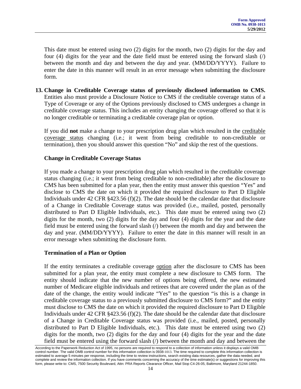This date must be entered using two (2) digits for the month, two (2) digits for the day and four (4) digits for the year and the date field must be entered using the forward slash (/) between the month and day and between the day and year. (MM/DD/YYYY). Failure to enter the date in this manner will result in an error message when submitting the disclosure form.

**13. Change in Creditable Coverage status of previously disclosed information to CMS.** Entities also must provide a Disclosure Notice to CMS if the creditable coverage status of a Type of Coverage or any of the Options previously disclosed to CMS undergoes a change in creditable coverage status. This includes an entity changing the coverage offered so that it is no longer creditable or terminating a creditable coverage plan or option.

If you did **not** make a change to your prescription drug plan which resulted in the creditable coverage status changing (i.e.; it went from being creditable to non-creditable or termination), then you should answer this question "No" and skip the rest of the questions.

### **Change in Creditable Coverage Status**

If you made a change to your prescription drug plan which resulted in the creditable coverage status changing (i.e.; it went from being creditable to non-creditable) after the disclosure to CMS has been submitted for a plan year, then the entity must answer this question "Yes" and disclose to CMS the date on which it provided the required disclosure to Part D Eligible Individuals under 42 CFR  $\S 423.56$  (f)(2). The date should be the calendar date that disclosure of a Change in Creditable Coverage status was provided (i.e., mailed, posted, personally distributed to Part D Eligible Individuals, etc.). This date must be entered using two (2) digits for the month, two (2) digits for the day and four (4) digits for the year and the date field must be entered using the forward slash (/) between the month and day and between the day and year. (MM/DD/YYYY). Failure to enter the date in this manner will result in an error message when submitting the disclosure form.

### **Termination of a Plan or Option**

If the entity terminates a creditable coverage option after the disclosure to CMS has been submitted for a plan year, the entity must complete a new disclosure to CMS form. The entity should indicate that the new number of options being offered, the new estimated number of Medicare eligible individuals and retirees that are covered under the plan as of the date of the change, the entity would indicate "Yes" to the question "is this is a change in creditable coverage status to a previously submitted disclosure to CMS form?" and the entity must disclose to CMS the date on which it provided the required disclosure to Part D Eligible Individuals under 42 CFR §423.56 (f)(2). The date should be the calendar date that disclosure of a Change in Creditable Coverage status was provided (i.e., mailed, posted, personally distributed to Part D Eligible Individuals, etc.). This date must be entered using two (2) digits for the month, two (2) digits for the day and four (4) digits for the year and the date field must be entered using the forward slash (/) between the month and day and between the

According to the Paperwork Reduction Act of 1995, no persons are required to respond to a collection of information unless it displays a valid OMB control number. The valid OMB control number for this information collection is 0938-1013. The time required to complete this information collection is estimated to average 5 minutes per response, including the time to review instructions, search existing data resources, gather the data needed, and complete and review the information collection. If you have comments concerning the accuracy of the time estimate(s) or suggestions for improving this form, please write to: CMS, 7500 Security Boulevard, Attn: PRA Reports Clearance Officer, Mail Stop C4-26-05, Baltimore, Maryland 21244-1850.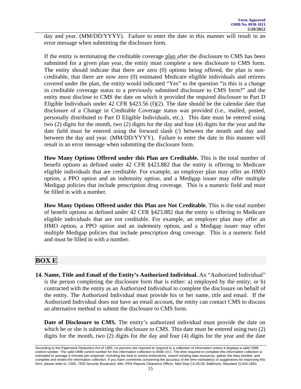day and year. (MM/DD/YYYY). Failure to enter the date in this manner will result in an error message when submitting the disclosure form.

If the entity is terminating the creditable coverage plan after the disclosure to CMS has been submitted for a given plan year, the entity must complete a new disclosure to CMS form. The entity should indicate that there are zero (0) options being offered, the plan is noncreditable, that there are now zero (0) estimated Medicare eligible individuals and retirees covered under the plan, the entity would indicated "Yes" to the question "is this is a change in creditable coverage status to a previously submitted disclosure to CMS form?" and the entity must disclose to CMS the date on which it provided the required disclosure to Part D Eligible Individuals under 42 CFR  $\S 423.56$  (f)(2). The date should be the calendar date that disclosure of a Change in Creditable Coverage status was provided (i.e., mailed, posted, personally distributed to Part D Eligible Individuals, etc.). This date must be entered using two (2) digits for the month, two (2) digits for the day and four (4) digits for the year and the date field must be entered using the forward slash (/) between the month and day and between the day and year. (MM/DD/YYYY). Failure to enter the date in this manner will result in an error message when submitting the disclosure form.

**How Many Options Offered under this Plan are Creditable.** This is the total number of benefit options as defined under 42 CFR §423.882 that the entity is offering to Medicare eligible individuals that are creditable. For example, an employer plan may offer an HMO option, a PPO option and an indemnity option, and a Medigap issuer may offer multiple Medigap policies that include prescription drug coverage. This is a numeric field and must be filled in with a number.

**How Many Options Offered under this Plan are Not Creditable.** This is the total number of benefit options as defined under 42 CFR §423.882 that the entity is offering to Medicare eligible individuals that are not creditable. For example, an employer plan may offer an HMO option, a PPO option and an indemnity option, and a Medigap issuer may offer multiple Medigap policies that include prescription drug coverage. This is a numeric field and must be filled in with a number.

### **BOX E**

**14. Name, Title and Email of the Entity's Authorized Individual.** An "Authorized Individual" is the person completing the disclosure form that is either: a) employed by the entity; or b) contracted with the entity as an Authorized Individual to complete the disclosure on behalf of the entity. The Authorized Individual must provide his or her name, title and email. If the Authorized Individual does not have an email account, the entity can contact CMS to discuss an alternative method to submit the disclosure to CMS form.

**Date of Disclosure to CMS.** The entity's authorized individual must provide the date on which he or she is submitting the disclosure to CMS. This date must be entered using two (2) digits for the month, two (2) digits for the day and four (4) digits for the year and the date

According to the Paperwork Reduction Act of 1995, no persons are required to respond to a collection of information unless it displays a valid OMB control number. The valid OMB control number for this information collection is 0938-1013. The time required to complete this information collection is estimated to average 5 minutes per response, including the time to review instructions, search existing data resources, gather the data needed, and complete and review the information collection. If you have comments concerning the accuracy of the time estimate(s) or suggestions for improving this form, please write to: CMS, 7500 Security Boulevard, Attn: PRA Reports Clearance Officer, Mail Stop C4-26-05, Baltimore, Maryland 21244-1850.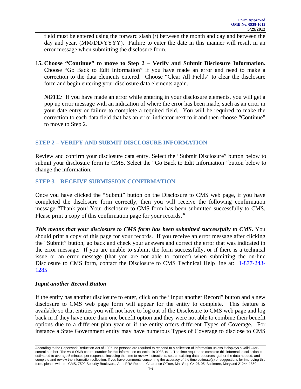<span id="page-15-0"></span>field must be entered using the forward slash (/) between the month and day and between the day and year. (MM/DD/YYYY). Failure to enter the date in this manner will result in an error message when submitting the disclosure form.

**15. Choose "Continue" to move to Step 2 – Verify and Submit Disclosure Information.** Choose "Go Back to Edit Information" if you have made an error and need to make a correction to the data elements entered. Choose "Clear All Fields" to clear the disclosure form and begin entering your disclosure data elements again.

*NOTE:* If you have made an error while entering in your disclosure elements, you will get a pop up error message with an indication of where the error has been made, such as an error in your date entry or failure to complete a required field. You will be required to make the correction to each data field that has an error indicator next to it and then choose "Continue" to move to Step 2.

### **STEP 2 – VERIFY AND SUBMIT DISCLOSURE INFORMATION**

Review and confirm your disclosure data entry. Select the "Submit Disclosure" button below to submit your disclosure form to CMS. Select the "Go Back to Edit Information" button below to change the information.

### **STEP 3 – RECEIVE SUBMISSION CONFIRMATION**

Once you have clicked the "Submit" button on the Disclosure to CMS web page, if you have completed the disclosure form correctly, then you will receive the following confirmation message "Thank you! Your disclosure to CMS form has been submitted successfully to CMS. Please print a copy of this confirmation page for your records."

*This means that your disclosure to CMS form has been submitted successfully to CMS. You* should print a copy of this page for your records. If you receive an error message after clicking the "Submit" button, go back and check your answers and correct the error that was indicated in the error message. If you are unable to submit the form successfully, or if there is a technical issue or an error message (that you are not able to correct) when submitting the on-line Disclosure to CMS form, contact the Disclosure to CMS Technical Help line at:1-877-243- 1285

### *Input another Record Button*

If the entity has another disclosure to enter, click on the "Input another Record" button and a new disclosure to CMS web page form will appear for the entity to complete. This feature is available so that entities you will not have to log out of the Disclosure to CMS web page and log back in if they have more than one benefit option and they were not able to combine their benefit options due to a different plan year or if the entity offers different Types of Coverage. For instance a State Government entity may have numerous Types of Coverage to disclose to CMS

According to the Paperwork Reduction Act of 1995, no persons are required to respond to a collection of information unless it displays a valid OMB<br>control number. The valid OMB control number for this information collectio estimated to average 5 minutes per response, including the time to review instructions, search existing data resources, gather the data needed, and complete and review the information collection. If you have comments concerning the accuracy of the time estimate(s) or suggestions for improving this form, please write to: CMS, 7500 Security Boulevard, Attn: PRA Reports Clearance Officer, Mail Stop C4-26-05, Baltimore, Maryland 21244-1850.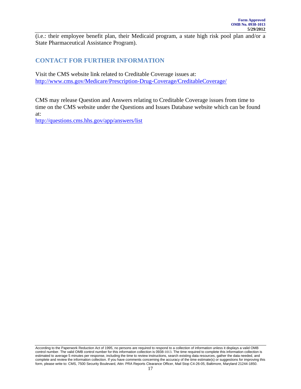<span id="page-16-0"></span>(i.e.: their employee benefit plan, their Medicaid program, a state high risk pool plan and/or a State Pharmaceutical Assistance Program).

### **CONTACT FOR FURTHER INFORMATION**

Visit the CMS website link related to Creditable Coverage issues at: <http://www.cms.gov/Medicare/Prescription-Drug-Coverage/CreditableCoverage/>

CMS may release Question and Answers relating to Creditable Coverage issues from time to time on the CMS website under the Questions and Issues Database website which can be found at:

http://questions.cms.hhs.gov/app/answers/list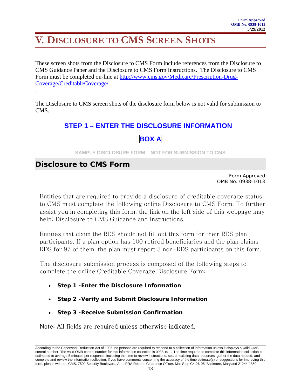# <span id="page-17-0"></span>**V. DISCLOSURE TO CMS SCREEN SHOTS**

These screen shots from the Disclosure to CMS Form include references from the Disclosure to CMS Guidance Paper and the Disclosure to CMS Form Instructions. The Disclosure to CMS Form must be completed on-line at [http://www.cms.gov/Medicare/Prescription-Drug-](http://www.cms.hhs.gov/Creditablecoverage)[Coverage/CreditableCoverage/.](http://www.cms.hhs.gov/Creditablecoverage)

The Disclosure to CMS screen shots of the disclosure form below is not valid for submission to CMS.

# **STEP 1 – ENTER THE DISCLOSURE INFORMATION**



**SAMPLE DISCLOSURE FORM – NOT FOR SUBMISSION TO CMS** 

### **Disclosure to CMS Form**

.

Form Approved OMB No. 0938-1013

Entities that are required to provide a disclosure of creditable coverage status to CMS must complete the following online Disclosure to CMS Form. To further assist you in completing this form, the link on the left side of this webpage may help: Disclosure to CMS Guidance and Instructions.

Entities that claim the RDS should not fill out this form for their RDS plan participants. If a plan option has 100 retired beneficiaries and the plan claims RDS for 97 of them, the plan must report 3 non-RDS participants on this form.

The disclosure submission process is composed of the following steps to complete the online Creditable Coverage Disclosure Form:

- **Step 1 -Enter the Disclosure Information**
- **Step 2 -Verify and Submit Disclosure Information**
- **Step 3 -Receive Submission Confirmation**

Note: All fields are required unless otherwise indicated.

According to the Paperwork Reduction Act of 1995, no persons are required to respond to a collection of information unless it displays a valid OMB control number. The valid OMB control number for this information collection is 0938-1013. The time required to complete this information collection is estimated to average 5 minutes per response, including the time to review instructions, search existing data resources, gather the data needed, and complete and review the information collection. If you have comments concerning the accuracy of the time estimate(s) or suggestions for improving this form, please write to: CMS, 7500 Security Boulevard, Attn: PRA Reports Clearance Officer, Mail Stop C4-26-05, Baltimore, Maryland 21244-1850.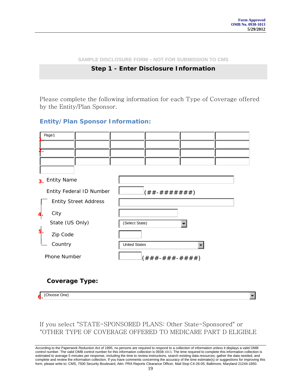$\left. \bullet \right.$ 

**SAMPLE DISCLOSURE FORM – NOT FOR SUBMISSION TO CMS**

### **Step 1 - Enter Disclosure Information**

Please complete the following information for each Type of Coverage offered by the Entity/Plan Sponsor.

### *Entity/Plan Sponsor Information:*

| Page1                                |                                     |
|--------------------------------------|-------------------------------------|
|                                      |                                     |
| 2.                                   |                                     |
|                                      |                                     |
|                                      |                                     |
| <b>Entity Name</b><br>3 <sub>1</sub> |                                     |
| Entity Federal ID Number             | $((\# \# - \# \# \# \# \# \# \#)))$ |
| <b>Entity Street Address</b>         |                                     |
| City                                 |                                     |
| State (US Only)                      | (Select State)                      |
| Zip Code                             |                                     |
| Country                              | <b>United States</b><br>٠           |
| Phone Number                         | $( # # # - # # # - # # #))$         |

### **Coverage Type:**

(Choose One) *6.*

### If you select "STATE-SPONSORED PLANS: Other State-Sponsored" or "OTHER TYPE OF COVERAGE OFFERED TO MEDICARE PART D ELIGIBLE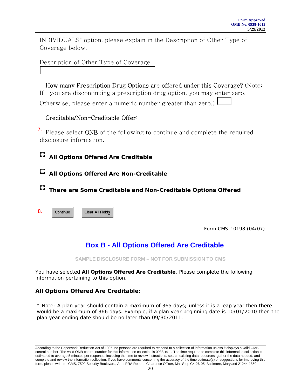INDIVIDUALS" option, please explain in the Description of Other Type of Coverage below.

Description of Other Type of Coverage

 How many Prescription Drug Options are offered under this Coverage? (Note: If you are discontinuing a prescription drug option, you may enter zero. Otherwise, please enter a numeric number greater than zero.)

### Creditable/Non-Creditable Offer:

 $\frac{7}{1}$ . Please select ONE of the following to continue and complete the required disclosure information.

**All Options Offered Are Creditable**

# **All Options Offered Are Non-Creditable**

**There are Some Creditable and Non-Creditable Options Offered**

**Continue**  Clear All Fields 8.

Form CMS-10198 (04/07)

**Box B - All Options Offered Are Creditable**

**SAMPLE DISCLOSURE FORM – NOT FOR SUBMISSION TO CMS** 

You have selected **All Options Offered Are Creditable**. Please complete the following information pertaining to this option.

### **All Options Offered Are Creditable:**

\* Note: A plan year should contain a maximum of 365 days; unless it is a leap year then there would be a maximum of 366 days. Example, if a plan year beginning date is 10/01/2010 then the plan year ending date should be no later than 09/30/2011.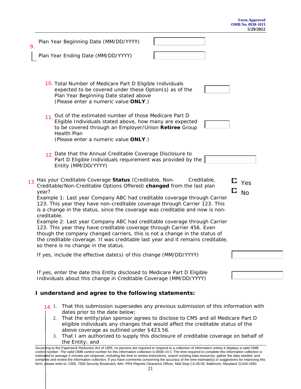| 9.  | Plan Year Beginning Date (MM/DD/YYYY)                                                                                                                                                                                                                                                                                                                                                                                                                                                                                                                                                                                                                                                                                                                           |             |                  |
|-----|-----------------------------------------------------------------------------------------------------------------------------------------------------------------------------------------------------------------------------------------------------------------------------------------------------------------------------------------------------------------------------------------------------------------------------------------------------------------------------------------------------------------------------------------------------------------------------------------------------------------------------------------------------------------------------------------------------------------------------------------------------------------|-------------|------------------|
|     | Plan Year Ending Date (MM/DD/YYYY)                                                                                                                                                                                                                                                                                                                                                                                                                                                                                                                                                                                                                                                                                                                              |             |                  |
|     | 10. Total Number of Medicare Part D Eligible Individuals<br>expected to be covered under these Option(s) as of the<br>Plan Year Beginning Date stated above<br>(Please enter a numeric value ONLY.)                                                                                                                                                                                                                                                                                                                                                                                                                                                                                                                                                             |             |                  |
|     | 11. Out of the estimated number of those Medicare Part D<br>Eligible Individuals stated above, how many are expected<br>to be covered through an Employer/Union Retiree Group<br><b>Health Plan</b><br>(Please enter a numeric value ONLY.)                                                                                                                                                                                                                                                                                                                                                                                                                                                                                                                     |             |                  |
|     | 12 Date that the Annual Creditable Coverage Disclosure to<br>Part D Eligible Individuals requirement was provided by the<br>Entity (MM/DD/YYYY)                                                                                                                                                                                                                                                                                                                                                                                                                                                                                                                                                                                                                 |             |                  |
| 13. | Has your Creditable Coverage Status (Creditable, Non-<br>Creditable/Non-Creditable Options Offered) changed from the last plan<br>year?<br>Example 1: Last year Company ABC had creditable coverage through Carrier<br>123. This year they have non-creditable coverage through Carrier 123. This<br>is a change in the status, since the coverage was creditable and now is non-<br>creditable.<br>Example 2: Last year Company ABC had creditable coverage through Carrier<br>123. This year they have creditable coverage through Carrier 456. Even<br>though the company changed carriers, this is not a change in the status of<br>the creditable coverage. It was creditable last year and it remains creditable,<br>so there is no change in the status. | Creditable, | Yes<br><b>No</b> |
|     | If yes, include the effective date(s) of this change (MM/DD/YYYY)                                                                                                                                                                                                                                                                                                                                                                                                                                                                                                                                                                                                                                                                                               |             |                  |
|     | If yes, enter the date this Entity disclosed to Medicare Part D Eligible<br>Individuals about this change in Creditable Coverage (MM/DD/YYYY)<br>I understand and agree to the following statements:                                                                                                                                                                                                                                                                                                                                                                                                                                                                                                                                                            |             |                  |
|     | That this submission supersedes any previous submission of this information with<br>14.1.<br>dates prior to the date below;<br>That the entity/plan sponsor agrees to disclose to CMS and all Medicare Part D<br>2.                                                                                                                                                                                                                                                                                                                                                                                                                                                                                                                                             |             |                  |

- eligible individuals any changes that would affect the creditable status of the above coverage as outlined under §423.56.
- 3. That I am authorized to supply this disclosure of creditable coverage on behalf of the Entity; and

According to the Paperwork Reduction Act of 1995, no persons are required to respond to a collection of information unless it displays a valid OMB<br>control number. The valid OMB control number for this information collectio estimated to average 5 minutes per response, including the time to review instructions, search existing data resources, gather the data needed, and complete and review the information collection. If you have comments concerning the accuracy of the time estimate(s) or suggestions for improving this form, please write to: CMS, 7500 Security Boulevard, Attn: PRA Reports Clearance Officer, Mail Stop C4-26-05, Baltimore, Maryland 21244-1850.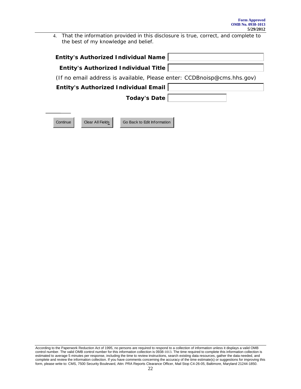4. That the information provided in this disclosure is true, correct, and complete to the best of my knowledge and belief.

| Entity's Authorized Individual Title                                    |  |
|-------------------------------------------------------------------------|--|
|                                                                         |  |
| (If no email address is available, Please enter: CCDBnoisp@cms.hhs.gov) |  |
| Entity's Authorized Individual Email                                    |  |
| Today's Date                                                            |  |

Continue Clear All Fields Go Back to Edit Information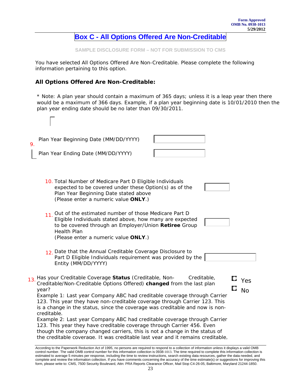#### **Form Approved OMB No. 0938-1013 5/29/2012**

## **Box C - All Options Offered Are Non-Creditable**

**SAMPLE DISCLOSURE FORM – NOT FOR SUBMISSION TO CMS** 

You have selected All Options Offered Are Non-Creditable. Please complete the following information pertaining to this option.

### **All Options Offered Are Non-Creditable:**

 $\Gamma$ 

\* Note: A plan year should contain a maximum of 365 days; unless it is a leap year then there would be a maximum of 366 days. Example, if a plan year beginning date is 10/01/2010 then the plan year ending date should be no later than 09/30/2011.

| Plan Year Beginning Date (MM/DD/YYYY)<br>9.                                                                                                                                                                                                                                                                                                                                                                                                                                                                                                                                                                                                                                                                                                   |           |
|-----------------------------------------------------------------------------------------------------------------------------------------------------------------------------------------------------------------------------------------------------------------------------------------------------------------------------------------------------------------------------------------------------------------------------------------------------------------------------------------------------------------------------------------------------------------------------------------------------------------------------------------------------------------------------------------------------------------------------------------------|-----------|
| Plan Year Ending Date (MM/DD/YYYY)                                                                                                                                                                                                                                                                                                                                                                                                                                                                                                                                                                                                                                                                                                            |           |
| 10. Total Number of Medicare Part D Eligible Individuals<br>expected to be covered under these Option(s) as of the<br>Plan Year Beginning Date stated above<br>(Please enter a numeric value ONLY.)                                                                                                                                                                                                                                                                                                                                                                                                                                                                                                                                           |           |
| 11. Out of the estimated number of those Medicare Part D<br>Eligible Individuals stated above, how many are expected<br>to be covered through an Employer/Union Retiree Group<br>Health Plan<br>(Please enter a numeric value ONLY.)                                                                                                                                                                                                                                                                                                                                                                                                                                                                                                          |           |
| 12 Date that the Annual Creditable Coverage Disclosure to<br>Part D Eligible Individuals requirement was provided by the<br>Entity (MM/DD/YYYY)                                                                                                                                                                                                                                                                                                                                                                                                                                                                                                                                                                                               |           |
| Has your Creditable Coverage Status (Creditable, Non-<br>Creditable,<br>13.<br>Creditable/Non-Creditable Options Offered) changed from the last plan<br>year?<br>Example 1: Last year Company ABC had creditable coverage through Carrier<br>123. This year they have non-creditable coverage through Carrier 123. This<br>is a change in the status, since the coverage was creditable and now is non-<br>creditable.<br>Example 2: Last year Company ABC had creditable coverage through Carrier<br>123. This year they have creditable coverage through Carrier 456. Even<br>though the company changed carriers, this is not a change in the status of<br>the creditable coverage. It was creditable last vear and it remains creditable. | Yes<br>No |

According to the Paperwork Reduction Act of 1995, no persons are required to respond to a collection of information unless it displays a valid OMB<br>control number. The valid OMB control number for this information collectio estimated to average 5 minutes per response, including the time to review instructions, search existing data resources, gather the data needed, and complete and review the information collection. If you have comments concerning the accuracy of the time estimate(s) or suggestions for improving this form, please write to: CMS, 7500 Security Boulevard, Attn: PRA Reports Clearance Officer, Mail Stop C4-26-05, Baltimore, Maryland 21244-1850.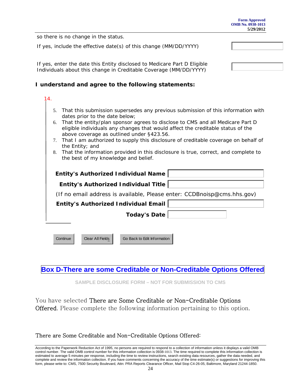|                                                                                                                                                                                                                                             | <b>OMB No. 0938-1013</b><br>5/29/2012 |  |  |  |
|---------------------------------------------------------------------------------------------------------------------------------------------------------------------------------------------------------------------------------------------|---------------------------------------|--|--|--|
| so there is no change in the status.                                                                                                                                                                                                        |                                       |  |  |  |
| If yes, include the effective date(s) of this change (MM/DD/YYYY)                                                                                                                                                                           |                                       |  |  |  |
| If yes, enter the date this Entity disclosed to Medicare Part D Eligible<br>Individuals about this change in Creditable Coverage (MM/DD/YYYY)<br>I understand and agree to the following statements:                                        |                                       |  |  |  |
| 4.<br>That this submission supersedes any previous submission of this information with<br>5.<br>dates prior to the date below;<br>That the entity/plan sponsor agrees to disclose to CMS and all Medicare Part D<br>6.                      |                                       |  |  |  |
| eligible individuals any changes that would affect the creditable status of the<br>above coverage as outlined under §423.56.<br>That I am authorized to supply this disclosure of creditable coverage on behalf of<br>7.<br>the Entity; and |                                       |  |  |  |
| That the information provided in this disclosure is true, correct, and complete to<br>8.<br>the best of my knowledge and belief.                                                                                                            |                                       |  |  |  |
| <b>Entity's Authorized Individual Name</b>                                                                                                                                                                                                  |                                       |  |  |  |
| <b>Entity's Authorized Individual Title</b>                                                                                                                                                                                                 |                                       |  |  |  |
| (If no email address is available, Please enter: CCDBnoisp@cms.hhs.gov)                                                                                                                                                                     |                                       |  |  |  |
| <b>Entity's Authorized Individual Email</b>                                                                                                                                                                                                 |                                       |  |  |  |
| <b>Today's Date</b>                                                                                                                                                                                                                         |                                       |  |  |  |
|                                                                                                                                                                                                                                             |                                       |  |  |  |
| Clear All Fields<br>Go Back to Edit Information<br>Continue                                                                                                                                                                                 |                                       |  |  |  |

**Form Approved** 

# **Box D-There are some Creditable or Non-Creditable Options Offered**

**SAMPLE DISCLOSURE FORM – NOT FOR SUBMISSION TO CMS** 

You have selected There are Some Creditable or Non-Creditable Options Offered. Please complete the following information pertaining to this option.

# There are Some Creditable and Non-Creditable Options Offered: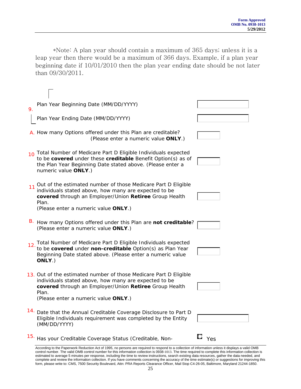\*Note: A plan year should contain a maximum of 365 days; unless it is a leap year then there would be a maximum of 366 days. Example, if a plan year beginning date if 10/01/2010 then the plan year ending date should be not later than 09/30/2011.

| 9.              | Plan Year Beginning Date (MM/DD/YYYY)                                                                                                                                                                                                 |                        |
|-----------------|---------------------------------------------------------------------------------------------------------------------------------------------------------------------------------------------------------------------------------------|------------------------|
|                 | Plan Year Ending Date (MM/DD/YYYY)                                                                                                                                                                                                    |                        |
|                 | A. How many Options offered under this Plan are creditable?<br>(Please enter a numeric value ONLY.)                                                                                                                                   |                        |
| 10 <sup>1</sup> | Total Number of Medicare Part D Eligible Individuals expected<br>to be covered under these creditable Benefit Option(s) as of<br>the Plan Year Beginning Date stated above. (Please enter a<br>numeric value ONLY.)                   |                        |
| 11              | Out of the estimated number of those Medicare Part D Eligible<br>individuals stated above, how many are expected to be<br>covered through an Employer/Union Retiree Group Health<br>Plan.<br>(Please enter a numeric value ONLY.)     |                        |
|                 | B. How many Options offered under this Plan are not creditable?<br>(Please enter a numeric value ONLY.)                                                                                                                               |                        |
| 12.             | Total Number of Medicare Part D Eligible Individuals expected<br>to be covered under non-creditable Option(s) as Plan Year<br>Beginning Date stated above. (Please enter a numeric value<br>ONLY.)                                    |                        |
|                 | 13. Out of the estimated number of those Medicare Part D Eligible<br>individuals stated above, how many are expected to be<br>covered through an Employer/Union Retiree Group Health<br>Plan.<br>(Please enter a numeric value ONLY.) |                        |
|                 | 14. Date that the Annual Creditable Coverage Disclosure to Part D<br>Eligible Individuals requirement was completed by the Entity<br>(MM/DD/YYYY)                                                                                     |                        |
|                 | 15. Has your Creditable Coverage Status (Creditable, Non-                                                                                                                                                                             | $\Box$ $_{\text{Yes}}$ |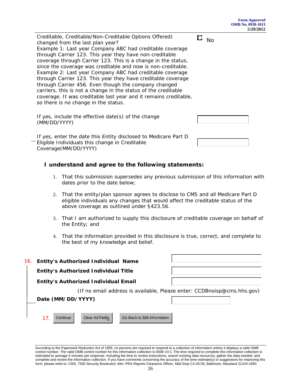Creditable, Creditable/Non-Creditable Options Offered) changed from the last plan year? Example 1: Last year Company ABC had creditable coverage through Carrier 123. This year they have non-creditable coverage through Carrier 123. This is a change in the status, since the coverage was creditable and now is non-creditable. Example 2: Last year Company ABC had creditable coverage through Carrier 123. This year they have creditable coverage through Carrier 456. Even though the company changed carriers, this is not a change in the status of the creditable coverage. It was creditable last year and it remains creditable, so there is no change in the status.  $\square$   $_{\sf No}$ If yes, include the effective date(s) of the change (MM/DD/YYYY) If yes, enter the date this Entity disclosed to Medicare Part D Eligible Individuals this change in Creditable Coverage(MM/DD/YYYY)

### **I understand and agree to the following statements:**

- 1. That this submission supersedes any previous submission of this information with dates prior to the date below;
- 2. That the entity/plan sponsor agrees to disclose to CMS and all Medicare Part D eligible individuals any changes that would affect the creditable status of the above coverage as outlined under §423.56.
- 3. That I am authorized to supply this disclosure of creditable coverage on behalf of the Entity; and
- 4. That the information provided in this disclosure is true, correct, and complete to the best of my knowledge and belief.

| 16. | Entity's Authorized Individual Name                                     |  |
|-----|-------------------------------------------------------------------------|--|
|     | Entity's Authorized Individual Title                                    |  |
|     | <b>Entity's Authorized Individual Email</b>                             |  |
|     | (If no email address is available, Please enter: CCDBnoisp@cms.hhs.gov) |  |
|     | Date (MM/DD/YYYY)                                                       |  |
|     | Go Back to Edit Information<br>Clear All Fields<br>Continue<br>17       |  |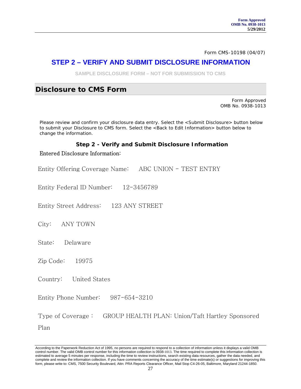Form CMS-10198 (04/07)

## **STEP 2 – VERIFY AND SUBMIT DISCLOSURE INFORMATION**

**SAMPLE DISCLOSURE FORM – NOT FOR SUBMISSION TO CMS** 

### **Disclosure to CMS Form**

Form Approved OMB No. 0938-1013

Please review and confirm your disclosure data entry. Select the <Submit Disclosure> button below to submit your Disclosure to CMS form. Select the <Back to Edit Information> button below to change the information.

### **Step 2 - Verify and Submit Disclosure Information**

#### Entered Disclosure Information:

Entity Offering Coverage Name: ABC UNION - TEST ENTRY

Entity Federal ID Number: 12-3456789

Entity Street Address: 123 ANY STREET

City: ANY TOWN

State: Delaware

Zip Code: 19975

Country: United States

Entity Phone Number: 987-654-3210

Type of Coverage : GROUP HEALTH PLAN: Union/Taft Hartley Sponsored Plan

According to the Paperwork Reduction Act of 1995, no persons are required to respond to a collection of information unless it displays a valid OMB<br>control number. The valid OMB control number for this information collectio estimated to average 5 minutes per response, including the time to review instructions, search existing data resources, gather the data needed, and complete and review the information collection. If you have comments concerning the accuracy of the time estimate(s) or suggestions for improving this form, please write to: CMS, 7500 Security Boulevard, Attn: PRA Reports Clearance Officer, Mail Stop C4-26-05, Baltimore, Maryland 21244-1850.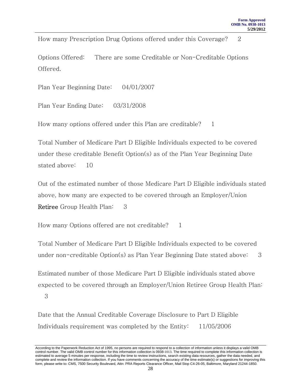How many Prescription Drug Options offered under this Coverage? 2

Options Offered: There are some Creditable or Non-Creditable Options Offered.

Plan Year Beginning Date: 04/01/2007

Plan Year Ending Date: 03/31/2008

How many options offered under this Plan are creditable?  $1$ 

Total Number of Medicare Part D Eligible Individuals expected to be covered under these creditable Benefit Option(s) as of the Plan Year Beginning Date stated above: 10

Out of the estimated number of those Medicare Part D Eligible individuals stated above, how many are expected to be covered through an Employer/Union Retiree Group Health Plan: 3

How many Options offered are not creditable? 1

Total Number of Medicare Part D Eligible Individuals expected to be covered under non-creditable Option(s) as Plan Year Beginning Date stated above: 3

Estimated number of those Medicare Part D Eligible individuals stated above expected to be covered through an Employer/Union Retiree Group Health Plan:

3

Date that the Annual Creditable Coverage Disclosure to Part D Eligible Individuals requirement was completed by the Entity: 11/05/2006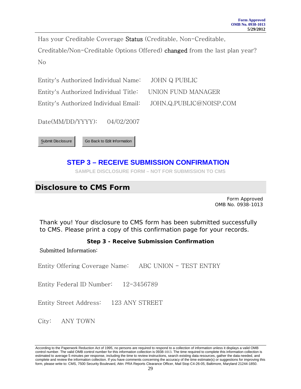Has your Creditable Coverage Status (Creditable, Non-Creditable, Creditable/Non-Creditable Options Offered) changed from the last plan year? No

Entity's Authorized Individual Name: JOHN Q PUBLIC Entity's Authorized Individual Title: UNION FUND MANAGER Entity's Authorized Individual Email: JOHN.Q.PUBLIC@NOISP.COM

Date(MM/DD/YYYY): 04/02/2007



# **STEP 3 – RECEIVE SUBMISSION CONFIRMATION**

**SAMPLE DISCLOSURE FORM – NOT FOR SUBMISSION TO CMS** 

# **Disclosure to CMS Form**

Form Approved OMB No. 0938-1013

Thank you! Your disclosure to CMS form has been submitted successfully to CMS. Please print a copy of this confirmation page for your records.

### **Step 3 - Receive Submission Confirmation**

### Submitted Information:

Entity Offering Coverage Name: ABC UNION - TEST ENTRY

Entity Federal ID Number: 12-3456789

Entity Street Address: 123 ANY STREET

City: ANY TOWN

According to the Paperwork Reduction Act of 1995, no persons are required to respond to a collection of information unless it displays a valid OMB<br>control number. The valid OMB control number for this information collectio estimated to average 5 minutes per response, including the time to review instructions, search existing data resources, gather the data needed, and complete and review the information collection. If you have comments concerning the accuracy of the time estimate(s) or suggestions for improving this form, please write to: CMS, 7500 Security Boulevard, Attn: PRA Reports Clearance Officer, Mail Stop C4-26-05, Baltimore, Maryland 21244-1850.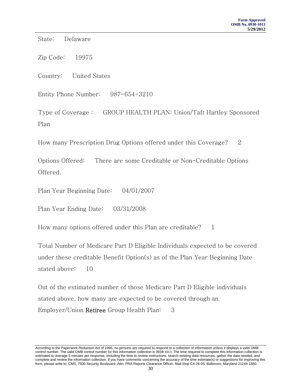State: Delaware

Zip Code: 19975

Country: United States

Entity Phone Number: 987-654-3210

Type of Coverage : GROUP HEALTH PLAN: Union/Taft Hartley Sponsored Plan

How many Prescription Drug Options offered under this Coverage? 2

Options Offered: There are some Creditable or Non-Creditable Options Offered.

Plan Year Beginning Date: 04/01/2007

Plan Year Ending Date: 03/31/2008

How many options offered under this Plan are creditable? 1

Total Number of Medicare Part D Eligible Individuals expected to be covered under these creditable Benefit Option(s) as of the Plan Year Beginning Date stated above: 10

Out of the estimated number of those Medicare Part D Eligible individuals stated above, how many are expected to be covered through an Employer/Union Retiree Group Health Plan: 3

According to the Paperwork Reduction Act of 1995, no persons are required to respond to a collection of information unless it displays a valid OMB<br>control number. The valid OMB control number for this information collectio estimated to average 5 minutes per response, including the time to review instructions, search existing data resources, gather the data needed, and complete and review the information collection. If you have comments concerning the accuracy of the time estimate(s) or suggestions for improving this form, please write to: CMS, 7500 Security Boulevard, Attn: PRA Reports Clearance Officer, Mail Stop C4-26-05, Baltimore, Maryland 21244-1850.